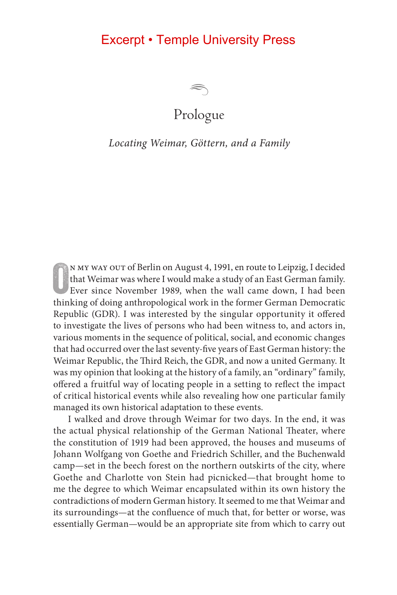

### Prologue

#### *Locating Weimar, Göttern, and a Family*

N MY WAY OUT of Berlin on August 4, 1991, en route to Leipzig, I decided that Weimar was where I would make a study of an East German family. Ever since November 1989, when the wall came down, I had been thinking of doing n my way out of Berlin on August 4, 1991, en route to Leipzig, I decided that Weimar was where I would make a study of an East German family. Ever since November 1989, when the wall came down, I had been Republic (GDR). I was interested by the singular opportunity it offered to investigate the lives of persons who had been witness to, and actors in, various moments in the sequence of political, social, and economic changes that had occurred over the last seventy-five years of East German history: the Weimar Republic, the Third Reich, the GDR, and now a united Germany. It was my opinion that looking at the history of a family, an "ordinary" family, offered a fruitful way of locating people in a setting to reflect the impact of critical historical events while also revealing how one particular family managed its own historical adaptation to these events.

I walked and drove through Weimar for two days. In the end, it was the actual physical relationship of the German National Theater, where the constitution of 1919 had been approved, the houses and museums of Johann Wolfgang von Goethe and Friedrich Schiller, and the Buchenwald camp—set in the beech forest on the northern outskirts of the city, where Goethe and Charlotte von Stein had picnicked—that brought home to me the degree to which Weimar encapsulated within its own history the contradictions of modern German history. It seemed to me that Weimar and its surroundings—at the confluence of much that, for better or worse, was essentially German—would be an appropriate site from which to carry out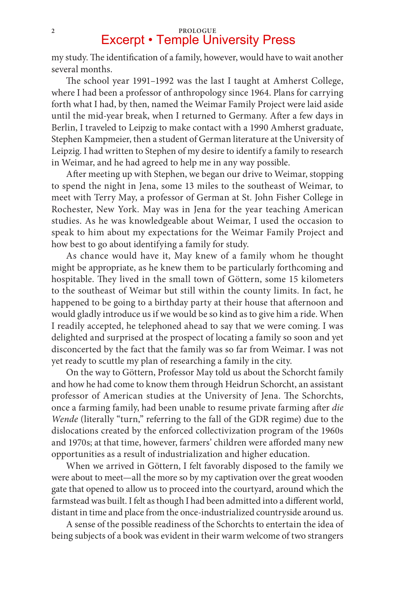## <sup>2</sup> **Excerpt • Temple University Press**

my study. The identification of a family, however, would have to wait another several months.

The school year 1991–1992 was the last I taught at Amherst College, where I had been a professor of anthropology since 1964. Plans for carrying forth what I had, by then, named the Weimar Family Project were laid aside until the mid-year break, when I returned to Germany. After a few days in Berlin, I traveled to Leipzig to make contact with a 1990 Amherst graduate, Stephen Kampmeier, then a student of German literature at the University of Leipzig. I had written to Stephen of my desire to identify a family to research in Weimar, and he had agreed to help me in any way possible.

After meeting up with Stephen, we began our drive to Weimar, stopping to spend the night in Jena, some 13 miles to the southeast of Weimar, to meet with Terry May, a professor of German at St. John Fisher College in Rochester, New York. May was in Jena for the year teaching American studies. As he was knowledgeable about Weimar, I used the occasion to speak to him about my expectations for the Weimar Family Project and how best to go about identifying a family for study.

As chance would have it, May knew of a family whom he thought might be appropriate, as he knew them to be particularly forthcoming and hospitable. They lived in the small town of Göttern, some 15 kilometers to the southeast of Weimar but still within the county limits. In fact, he happened to be going to a birthday party at their house that afternoon and would gladly introduce us if we would be so kind as to give him a ride. When I readily accepted, he telephoned ahead to say that we were coming. I was delighted and surprised at the prospect of locating a family so soon and yet disconcerted by the fact that the family was so far from Weimar. I was not yet ready to scuttle my plan of researching a family in the city.

On the way to Göttern, Professor May told us about the Schorcht family and how he had come to know them through Heidrun Schorcht, an assistant professor of American studies at the University of Jena. The Schorchts, once a farming family, had been unable to resume private farming after *die Wende* (literally "turn," referring to the fall of the GDR regime) due to the dislocations created by the enforced collectivization program of the 1960s and 1970s; at that time, however, farmers' children were afforded many new opportunities as a result of industrialization and higher education.

When we arrived in Göttern, I felt favorably disposed to the family we were about to meet—all the more so by my captivation over the great wooden gate that opened to allow us to proceed into the courtyard, around which the farmstead was built. I felt as though I had been admitted into a different world, distant in time and place from the once-industrialized countryside around us.

A sense of the possible readiness of the Schorchts to entertain the idea of being subjects of a book was evident in their warm welcome of two strangers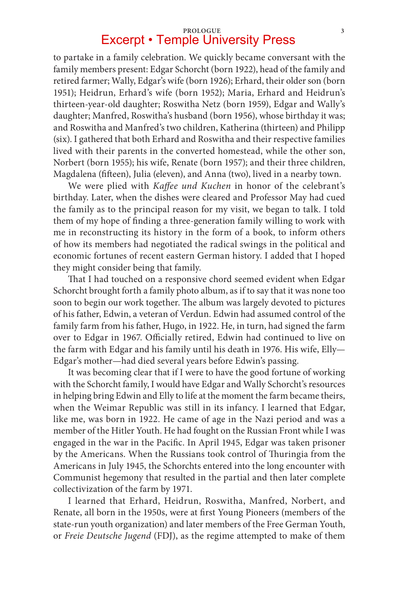### **Prologue 3** Excerpt • Temple University Press

to partake in a family celebration. We quickly became conversant with the family members present: Edgar Schorcht (born 1922), head of the family and retired farmer; Wally, Edgar's wife (born 1926); Erhard, their older son (born 1951); Heidrun, Erhard's wife (born 1952); Maria, Erhard and Heidrun's thirteen-year-old daughter; Roswitha Netz (born 1959), Edgar and Wally's daughter; Manfred, Roswitha's husband (born 1956), whose birthday it was; and Roswitha and Manfred's two children, Katherina (thirteen) and Philipp (six). I gathered that both Erhard and Roswitha and their respective families lived with their parents in the converted homestead, while the other son, Norbert (born 1955); his wife, Renate (born 1957); and their three children, Magdalena (fifteen), Julia (eleven), and Anna (two), lived in a nearby town.

We were plied with *Kaffee und Kuchen* in honor of the celebrant's birthday. Later, when the dishes were cleared and Professor May had cued the family as to the principal reason for my visit, we began to talk. I told them of my hope of finding a three-generation family willing to work with me in reconstructing its history in the form of a book, to inform others of how its members had negotiated the radical swings in the political and economic fortunes of recent eastern German history. I added that I hoped they might consider being that family.

That I had touched on a responsive chord seemed evident when Edgar Schorcht brought forth a family photo album, as if to say that it was none too soon to begin our work together. The album was largely devoted to pictures of his father, Edwin, a veteran of Verdun. Edwin had assumed control of the family farm from his father, Hugo, in 1922. He, in turn, had signed the farm over to Edgar in 1967. Officially retired, Edwin had continued to live on the farm with Edgar and his family until his death in 1976. His wife, Elly— Edgar's mother—had died several years before Edwin's passing.

It was becoming clear that if I were to have the good fortune of working with the Schorcht family, I would have Edgar and Wally Schorcht's resources in helping bring Edwin and Elly to life at the moment the farm became theirs, when the Weimar Republic was still in its infancy. I learned that Edgar, like me, was born in 1922. He came of age in the Nazi period and was a member of the Hitler Youth. He had fought on the Russian Front while I was engaged in the war in the Pacific. In April 1945, Edgar was taken prisoner by the Americans. When the Russians took control of Thuringia from the Americans in July 1945, the Schorchts entered into the long encounter with Communist hegemony that resulted in the partial and then later complete collectivization of the farm by 1971.

I learned that Erhard, Heidrun, Roswitha, Manfred, Norbert, and Renate, all born in the 1950s, were at first Young Pioneers (members of the state-run youth organization) and later members of the Free German Youth, or *Freie Deutsche Jugend* (FDJ), as the regime attempted to make of them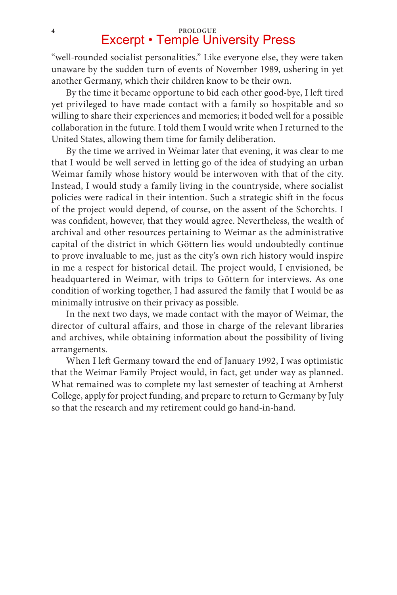## **4 PROLOGUE** Excerpt • Temple University Press

"well-rounded socialist personalities." Like everyone else, they were taken unaware by the sudden turn of events of November 1989, ushering in yet another Germany, which their children know to be their own.

By the time it became opportune to bid each other good-bye, I left tired yet privileged to have made contact with a family so hospitable and so willing to share their experiences and memories; it boded well for a possible collaboration in the future. I told them I would write when I returned to the United States, allowing them time for family deliberation.

By the time we arrived in Weimar later that evening, it was clear to me that I would be well served in letting go of the idea of studying an urban Weimar family whose history would be interwoven with that of the city. Instead, I would study a family living in the countryside, where socialist policies were radical in their intention. Such a strategic shift in the focus of the project would depend, of course, on the assent of the Schorchts. I was confident, however, that they would agree. Nevertheless, the wealth of archival and other resources pertaining to Weimar as the administrative capital of the district in which Göttern lies would undoubtedly continue to prove invaluable to me, just as the city's own rich history would inspire in me a respect for historical detail. The project would, I envisioned, be headquartered in Weimar, with trips to Göttern for interviews. As one condition of working together, I had assured the family that I would be as minimally intrusive on their privacy as possible.

In the next two days, we made contact with the mayor of Weimar, the director of cultural affairs, and those in charge of the relevant libraries and archives, while obtaining information about the possibility of living arrangements.

When I left Germany toward the end of January 1992, I was optimistic that the Weimar Family Project would, in fact, get under way as planned. What remained was to complete my last semester of teaching at Amherst College, apply for project funding, and prepare to return to Germany by July so that the research and my retirement could go hand-in-hand.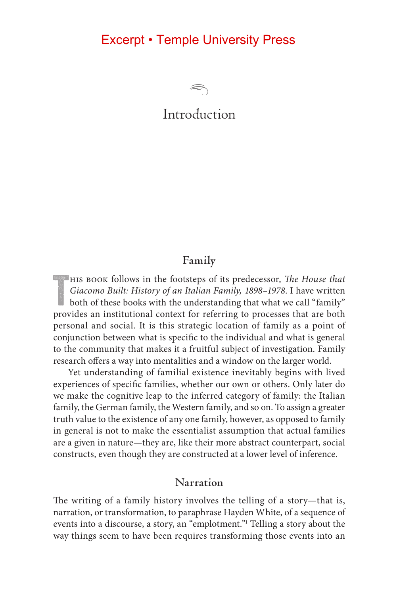

### Introduction

#### **Family**

HIS BOOK follows in the footsteps of its predecessor, *The House that*<br>Giacomo Built: History of an Italian Family, 1898–1978. I have written<br>both of these books with the understanding that what we call "family" his book follows in the footsteps of its predecessor, *The House that Giacomo Built: History of an Italian Family, 1898–1978*. I have written provides an institutional context for referring to processes that are both personal and social. It is this strategic location of family as a point of conjunction between what is specific to the individual and what is general to the community that makes it a fruitful subject of investigation. Family research offers a way into mentalities and a window on the larger world.

Yet understanding of familial existence inevitably begins with lived experiences of specific families, whether our own or others. Only later do we make the cognitive leap to the inferred category of family: the Italian family, the German family, the Western family, and so on. To assign a greater truth value to the existence of any one family, however, as opposed to family in general is not to make the essentialist assumption that actual families are a given in nature—they are, like their more abstract counterpart, social constructs, even though they are constructed at a lower level of inference.

#### **Narration**

The writing of a family history involves the telling of a story—that is, narration, or transformation, to paraphrase Hayden White, of a sequence of events into a discourse, a story, an "emplotment." Telling a story about the way things seem to have been requires transforming those events into an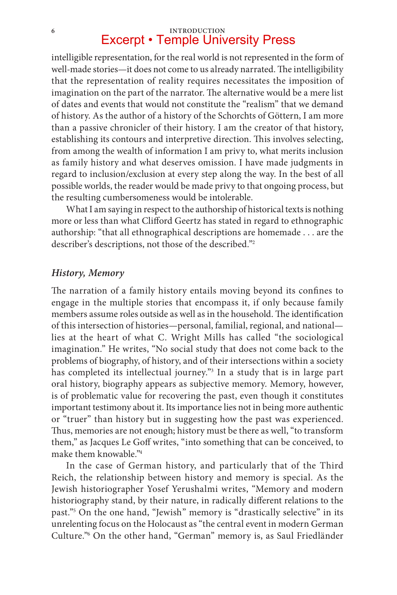# **6 INTRODUCTION**<br> **Excerpt • Temple University Press**

intelligible representation, for the real world is not represented in the form of well-made stories—it does not come to us already narrated. The intelligibility that the representation of reality requires necessitates the imposition of imagination on the part of the narrator. The alternative would be a mere list of dates and events that would not constitute the "realism" that we demand of history. As the author of a history of the Schorchts of Göttern, I am more than a passive chronicler of their history. I am the creator of that history, establishing its contours and interpretive direction. This involves selecting, from among the wealth of information I am privy to, what merits inclusion as family history and what deserves omission. I have made judgments in regard to inclusion/exclusion at every step along the way. In the best of all possible worlds, the reader would be made privy to that ongoing process, but the resulting cumbersomeness would be intolerable.

What I am saying in respect to the authorship of historical texts is nothing more or less than what Clifford Geertz has stated in regard to ethnographic authorship: "that all ethnographical descriptions are homemade . . . are the describer's descriptions, not those of the described."2

#### *History, Memory*

The narration of a family history entails moving beyond its confines to engage in the multiple stories that encompass it, if only because family members assume roles outside as well as in the household. The identification of this intersection of histories—personal, familial, regional, and national lies at the heart of what C. Wright Mills has called "the sociological imagination." He writes, "No social study that does not come back to the problems of biography, of history, and of their intersections within a society has completed its intellectual journey."3 In a study that is in large part oral history, biography appears as subjective memory. Memory, however, is of problematic value for recovering the past, even though it constitutes important testimony about it. Its importance lies not in being more authentic or "truer" than history but in suggesting how the past was experienced. Thus, memories are not enough; history must be there as well, "to transform them," as Jacques Le Goff writes, "into something that can be conceived, to make them knowable."4

In the case of German history, and particularly that of the Third Reich, the relationship between history and memory is special. As the Jewish historiographer Yosef Yerushalmi writes, "Memory and modern historiography stand, by their nature, in radically different relations to the past."5 On the one hand, "Jewish" memory is "drastically selective" in its unrelenting focus on the Holocaust as "the central event in modern German Culture."6 On the other hand, "German" memory is, as Saul Friedländer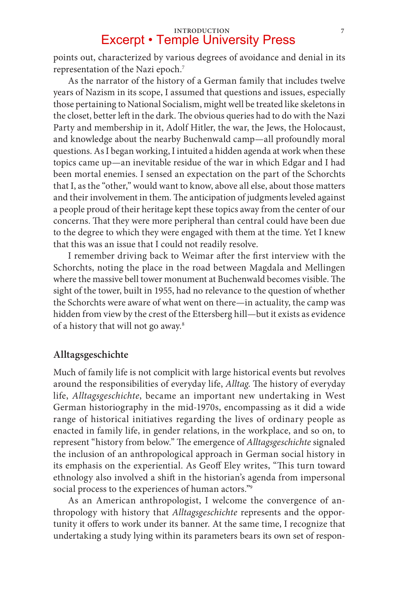points out, characterized by various degrees of avoidance and denial in its representation of the Nazi epoch.7

As the narrator of the history of a German family that includes twelve years of Nazism in its scope, I assumed that questions and issues, especially those pertaining to National Socialism, might well be treated like skeletons in the closet, better left in the dark. The obvious queries had to do with the Nazi Party and membership in it, Adolf Hitler, the war, the Jews, the Holocaust, and knowledge about the nearby Buchenwald camp—all profoundly moral questions. As I began working, I intuited a hidden agenda at work when these topics came up—an inevitable residue of the war in which Edgar and I had been mortal enemies. I sensed an expectation on the part of the Schorchts that I, as the "other," would want to know, above all else, about those matters and their involvement in them. The anticipation of judgments leveled against a people proud of their heritage kept these topics away from the center of our concerns. That they were more peripheral than central could have been due to the degree to which they were engaged with them at the time. Yet I knew that this was an issue that I could not readily resolve.

I remember driving back to Weimar after the first interview with the Schorchts, noting the place in the road between Magdala and Mellingen where the massive bell tower monument at Buchenwald becomes visible. The sight of the tower, built in 1955, had no relevance to the question of whether the Schorchts were aware of what went on there—in actuality, the camp was hidden from view by the crest of the Ettersberg hill—but it exists as evidence of a history that will not go away.8

#### **Alltagsgeschichte**

Much of family life is not complicit with large historical events but revolves around the responsibilities of everyday life, *Alltag*. The history of everyday life, *Alltagsgeschichte*, became an important new undertaking in West German historiography in the mid-1970s, encompassing as it did a wide range of historical initiatives regarding the lives of ordinary people as enacted in family life, in gender relations, in the workplace, and so on, to represent "history from below." The emergence of *Alltagsgeschichte* signaled the inclusion of an anthropological approach in German social history in its emphasis on the experiential. As Geoff Eley writes, "This turn toward ethnology also involved a shift in the historian's agenda from impersonal social process to the experiences of human actors."<sup>9</sup>

As an American anthropologist, I welcome the convergence of anthropology with history that *Alltagsgeschichte* represents and the opportunity it offers to work under its banner. At the same time, I recognize that undertaking a study lying within its parameters bears its own set of respon-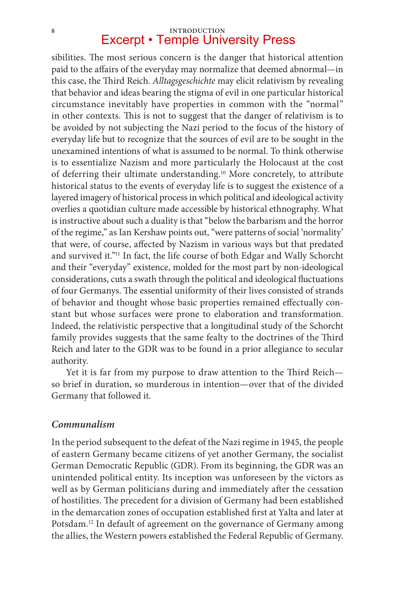sibilities. The most serious concern is the danger that historical attention paid to the affairs of the everyday may normalize that deemed abnormal—in this case, the Third Reich. *Alltagsgeschichte* may elicit relativism by revealing that behavior and ideas bearing the stigma of evil in one particular historical circumstance inevitably have properties in common with the "normal" in other contexts. This is not to suggest that the danger of relativism is to be avoided by not subjecting the Nazi period to the focus of the history of everyday life but to recognize that the sources of evil are to be sought in the unexamined intentions of what is assumed to be normal. To think otherwise is to essentialize Nazism and more particularly the Holocaust at the cost of deferring their ultimate understanding.<sup>10</sup> More concretely, to attribute historical status to the events of everyday life is to suggest the existence of a layered imagery of historical process in which political and ideological activity overlies a quotidian culture made accessible by historical ethnography. What is instructive about such a duality is that "below the barbarism and the horror of the regime," as Ian Kershaw points out, "were patterns of social 'normality' that were, of course, affected by Nazism in various ways but that predated and survived it."11 In fact, the life course of both Edgar and Wally Schorcht and their "everyday" existence, molded for the most part by non-ideological considerations, cuts a swath through the political and ideological fluctuations of four Germanys. The essential uniformity of their lives consisted of strands of behavior and thought whose basic properties remained effectually constant but whose surfaces were prone to elaboration and transformation. Indeed, the relativistic perspective that a longitudinal study of the Schorcht family provides suggests that the same fealty to the doctrines of the Third Reich and later to the GDR was to be found in a prior allegiance to secular authority.

Yet it is far from my purpose to draw attention to the Third Reich so brief in duration, so murderous in intention—over that of the divided Germany that followed it.

#### *Communalism*

In the period subsequent to the defeat of the Nazi regime in 1945, the people of eastern Germany became citizens of yet another Germany, the socialist German Democratic Republic (GDR). From its beginning, the GDR was an unintended political entity. Its inception was unforeseen by the victors as well as by German politicians during and immediately after the cessation of hostilities. The precedent for a division of Germany had been established in the demarcation zones of occupation established first at Yalta and later at Potsdam.<sup>12</sup> In default of agreement on the governance of Germany among the allies, the Western powers established the Federal Republic of Germany.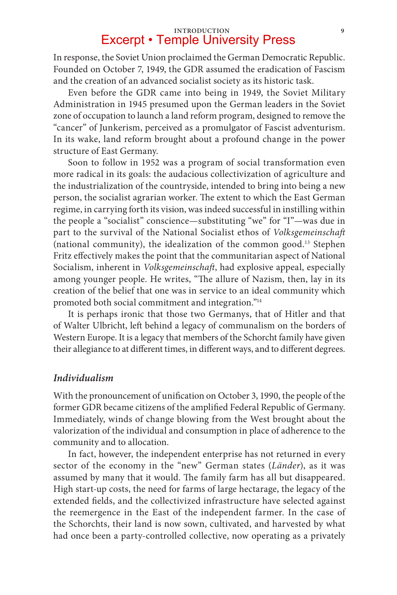In response, the Soviet Union proclaimed the German Democratic Republic. Founded on October 7, 1949, the GDR assumed the eradication of Fascism and the creation of an advanced socialist society as its historic task.

Even before the GDR came into being in 1949, the Soviet Military Administration in 1945 presumed upon the German leaders in the Soviet zone of occupation to launch a land reform program, designed to remove the "cancer" of Junkerism, perceived as a promulgator of Fascist adventurism. In its wake, land reform brought about a profound change in the power structure of East Germany.

Soon to follow in 1952 was a program of social transformation even more radical in its goals: the audacious collectivization of agriculture and the industrialization of the countryside, intended to bring into being a new person, the socialist agrarian worker. The extent to which the East German regime, in carrying forth its vision, was indeed successful in instilling within the people a "socialist" conscience—substituting "we" for "I"—was due in part to the survival of the National Socialist ethos of *Volksgemeinschaft* (national community), the idealization of the common good.13 Stephen Fritz effectively makes the point that the communitarian aspect of National Socialism, inherent in *Volksgemeinschaft*, had explosive appeal, especially among younger people. He writes, "The allure of Nazism, then, lay in its creation of the belief that one was in service to an ideal community which promoted both social commitment and integration."14

It is perhaps ironic that those two Germanys, that of Hitler and that of Walter Ulbricht, left behind a legacy of communalism on the borders of Western Europe. It is a legacy that members of the Schorcht family have given their allegiance to at different times, in different ways, and to different degrees.

#### *Individualism*

With the pronouncement of unification on October 3, 1990, the people of the former GDR became citizens of the amplified Federal Republic of Germany. Immediately, winds of change blowing from the West brought about the valorization of the individual and consumption in place of adherence to the community and to allocation.

In fact, however, the independent enterprise has not returned in every sector of the economy in the "new" German states (*Länder*), as it was assumed by many that it would. The family farm has all but disappeared. High start-up costs, the need for farms of large hectarage, the legacy of the extended fields, and the collectivized infrastructure have selected against the reemergence in the East of the independent farmer. In the case of the Schorchts, their land is now sown, cultivated, and harvested by what had once been a party-controlled collective, now operating as a privately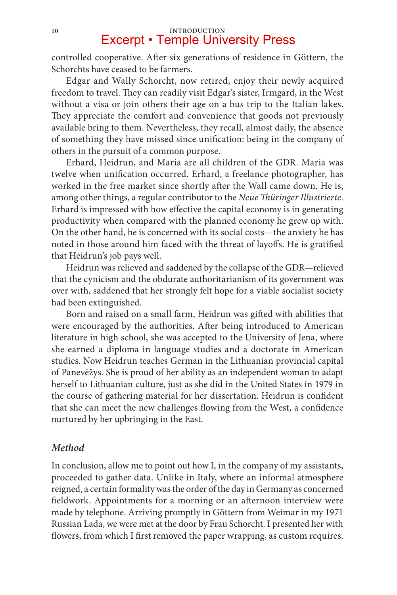controlled cooperative. After six generations of residence in Göttern, the Schorchts have ceased to be farmers.

Edgar and Wally Schorcht, now retired, enjoy their newly acquired freedom to travel. They can readily visit Edgar's sister, Irmgard, in the West without a visa or join others their age on a bus trip to the Italian lakes. They appreciate the comfort and convenience that goods not previously available bring to them. Nevertheless, they recall, almost daily, the absence of something they have missed since unification: being in the company of others in the pursuit of a common purpose.

Erhard, Heidrun, and Maria are all children of the GDR. Maria was twelve when unification occurred. Erhard, a freelance photographer, has worked in the free market since shortly after the Wall came down. He is, among other things, a regular contributor to the *Neue Thüringer Illustrierte*. Erhard is impressed with how effective the capital economy is in generating productivity when compared with the planned economy he grew up with. On the other hand, he is concerned with its social costs—the anxiety he has noted in those around him faced with the threat of layoffs. He is gratified that Heidrun's job pays well.

Heidrun was relieved and saddened by the collapse of the GDR—relieved that the cynicism and the obdurate authoritarianism of its government was over with, saddened that her strongly felt hope for a viable socialist society had been extinguished.

Born and raised on a small farm, Heidrun was gifted with abilities that were encouraged by the authorities. After being introduced to American literature in high school, she was accepted to the University of Jena, where she earned a diploma in language studies and a doctorate in American studies. Now Heidrun teaches German in the Lithuanian provincial capital of Panevėžys. She is proud of her ability as an independent woman to adapt herself to Lithuanian culture, just as she did in the United States in 1979 in the course of gathering material for her dissertation. Heidrun is confident that she can meet the new challenges flowing from the West, a confidence nurtured by her upbringing in the East.

#### *Method*

In conclusion, allow me to point out how I, in the company of my assistants, proceeded to gather data. Unlike in Italy, where an informal atmosphere reigned, a certain formality was the order of the day in Germany as concerned fieldwork. Appointments for a morning or an afternoon interview were made by telephone. Arriving promptly in Göttern from Weimar in my 1971 Russian Lada, we were met at the door by Frau Schorcht. I presented her with flowers, from which I first removed the paper wrapping, as custom requires.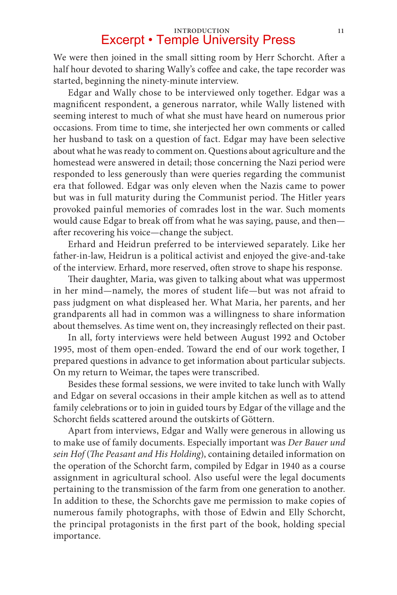### **Introduction 11** Excerpt • Temple University Press

We were then joined in the small sitting room by Herr Schorcht. After a half hour devoted to sharing Wally's coffee and cake, the tape recorder was started, beginning the ninety-minute interview.

Edgar and Wally chose to be interviewed only together. Edgar was a magnificent respondent, a generous narrator, while Wally listened with seeming interest to much of what she must have heard on numerous prior occasions. From time to time, she interjected her own comments or called her husband to task on a question of fact. Edgar may have been selective about what he was ready to comment on. Questions about agriculture and the homestead were answered in detail; those concerning the Nazi period were responded to less generously than were queries regarding the communist era that followed. Edgar was only eleven when the Nazis came to power but was in full maturity during the Communist period. The Hitler years provoked painful memories of comrades lost in the war. Such moments would cause Edgar to break off from what he was saying, pause, and then after recovering his voice—change the subject.

Erhard and Heidrun preferred to be interviewed separately. Like her father-in-law, Heidrun is a political activist and enjoyed the give-and-take of the interview. Erhard, more reserved, often strove to shape his response.

Their daughter, Maria, was given to talking about what was uppermost in her mind—namely, the mores of student life—but was not afraid to pass judgment on what displeased her. What Maria, her parents, and her grandparents all had in common was a willingness to share information about themselves. As time went on, they increasingly reflected on their past.

In all, forty interviews were held between August 1992 and October 1995, most of them open-ended. Toward the end of our work together, I prepared questions in advance to get information about particular subjects. On my return to Weimar, the tapes were transcribed.

Besides these formal sessions, we were invited to take lunch with Wally and Edgar on several occasions in their ample kitchen as well as to attend family celebrations or to join in guided tours by Edgar of the village and the Schorcht fields scattered around the outskirts of Göttern.

Apart from interviews, Edgar and Wally were generous in allowing us to make use of family documents. Especially important was *Der Bauer und sein Hof* (*The Peasant and His Holding*), containing detailed information on the operation of the Schorcht farm, compiled by Edgar in 1940 as a course assignment in agricultural school. Also useful were the legal documents pertaining to the transmission of the farm from one generation to another. In addition to these, the Schorchts gave me permission to make copies of numerous family photographs, with those of Edwin and Elly Schorcht, the principal protagonists in the first part of the book, holding special importance.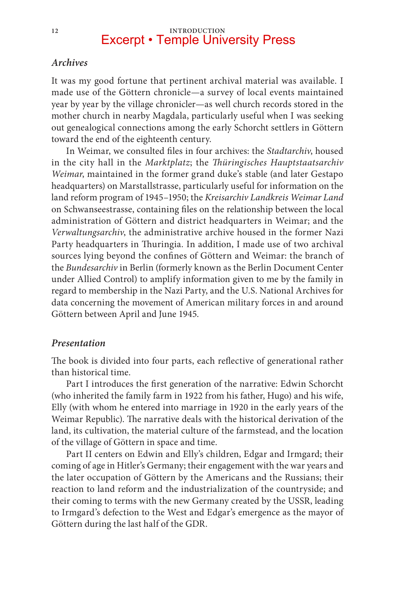## 12 **INTRODUCTION**<br> **Excerpt • Temple University Press**

#### *Archives*

It was my good fortune that pertinent archival material was available. I made use of the Göttern chronicle—a survey of local events maintained year by year by the village chronicler—as well church records stored in the mother church in nearby Magdala, particularly useful when I was seeking out genealogical connections among the early Schorcht settlers in Göttern toward the end of the eighteenth century.

In Weimar, we consulted files in four archives: the *Stadtarchiv*, housed in the city hall in the *Marktplatz*; the *Thüringisches Hauptstaatsarchiv Weimar*, maintained in the former grand duke's stable (and later Gestapo headquarters) on Marstallstrasse, particularly useful for information on the land reform program of 1945–1950; the *Kreisarchiv Landkreis Weimar Land*  on Schwanseestrasse, containing files on the relationship between the local administration of Göttern and district headquarters in Weimar; and the *Verwaltungsarchiv*, the administrative archive housed in the former Nazi Party headquarters in Thuringia. In addition, I made use of two archival sources lying beyond the confines of Göttern and Weimar: the branch of the *Bundesarchiv* in Berlin (formerly known as the Berlin Document Center under Allied Control) to amplify information given to me by the family in regard to membership in the Nazi Party, and the U.S. National Archives for data concerning the movement of American military forces in and around Göttern between April and June 1945.

#### *Presentation*

The book is divided into four parts, each reflective of generational rather than historical time.

Part I introduces the first generation of the narrative: Edwin Schorcht (who inherited the family farm in 1922 from his father, Hugo) and his wife, Elly (with whom he entered into marriage in 1920 in the early years of the Weimar Republic). The narrative deals with the historical derivation of the land, its cultivation, the material culture of the farmstead, and the location of the village of Göttern in space and time.

Part II centers on Edwin and Elly's children, Edgar and Irmgard; their coming of age in Hitler's Germany; their engagement with the war years and the later occupation of Göttern by the Americans and the Russians; their reaction to land reform and the industrialization of the countryside; and their coming to terms with the new Germany created by the USSR, leading to Irmgard's defection to the West and Edgar's emergence as the mayor of Göttern during the last half of the GDR.